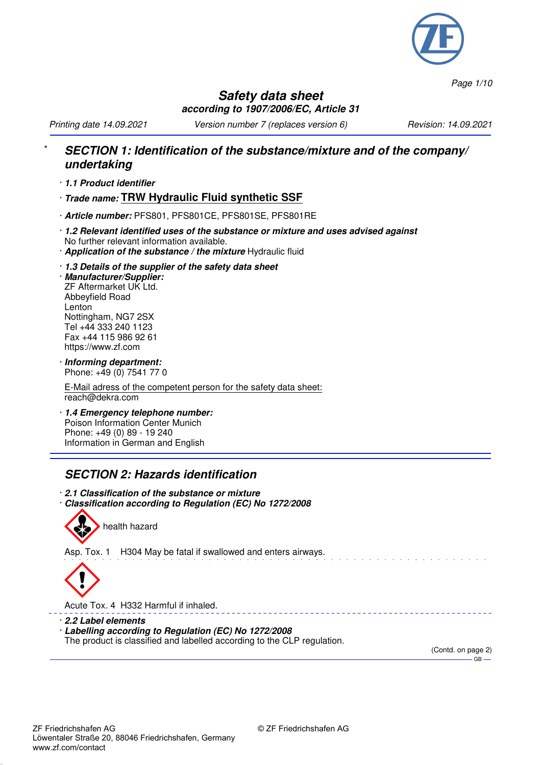

*Page 1/10*

#### **Safety data sheet according to 1907/2006/EC, Article 31**

*Printing date 14.09.2021 Version number 7 (replaces version 6) Revision: 14.09.2021*

#### \* **SECTION 1: Identification of the substance/mixture and of the company/ undertaking**

- · **1.1 Product identifier**
- · **Trade name: TRW Hydraulic Fluid synthetic SSF**
- · **Article number:** PFS801, PFS801CE, PFS801SE, PFS801RE
- · **1.2 Relevant identified uses of the substance or mixture and uses advised against** No further relevant information available.
- · **Application of the substance / the mixture** Hydraulic fluid
- · **1.3 Details of the supplier of the safety data sheet**

· **Manufacturer/Supplier:** ZF Aftermarket UK Ltd. Abbeyfield Road Lenton Nottingham, NG7 2SX Tel +44 333 240 1123 Fax +44 115 986 92 61 https://www.zf.com

· **Informing department:** Phone: +49 (0) 7541 77 0

E-Mail adress of the competent person for the safety data sheet: reach@dekra.com

· **1.4 Emergency telephone number:** Poison Information Center Munich Phone: +49 (0) 89 - 19 240 Information in German and English

#### **SECTION 2: Hazards identification**

- · **2.1 Classification of the substance or mixture**
- · **Classification according to Regulation (EC) No 1272/2008**



Asp. Tox. 1 H304 May be fatal if swallowed and enters airways.



Acute Tox. 4 H332 Harmful if inhaled.

- · **2.2 Label elements**
- · **Labelling according to Regulation (EC) No 1272/2008**
- The product is classified and labelled according to the CLP regulation.

(Contd. on page 2)  $-$  GB  $-$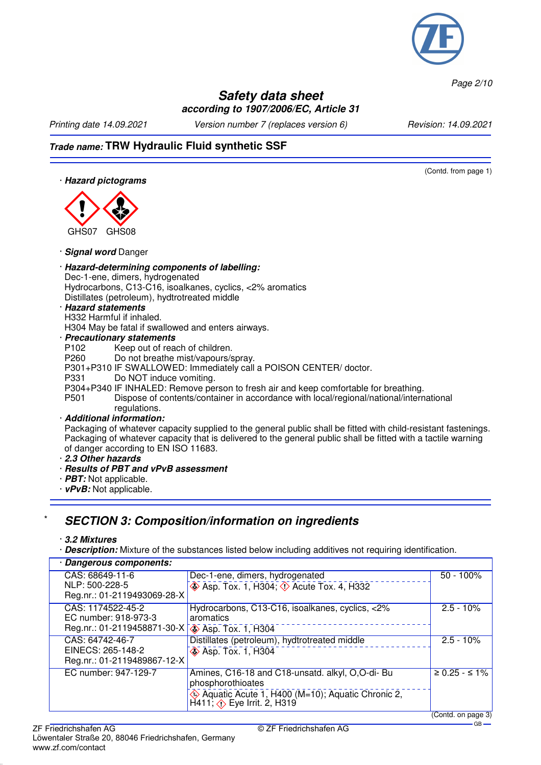

*Page 2/10*

#### **Safety data sheet according to 1907/2006/EC, Article 31**

*Printing date 14.09.2021 Version number 7 (replaces version 6) Revision: 14.09.2021*

## **Trade name: TRW Hydraulic Fluid synthetic SSF**

(Contd. from page 1)

· **Hazard pictograms**



· **Signal word** Danger

· **Hazard-determining components of labelling:** Dec-1-ene, dimers, hydrogenated Hydrocarbons, C13-C16, isoalkanes, cyclics, <2% aromatics Distillates (petroleum), hydtrotreated middle

#### · **Hazard statements**

H332 Harmful if inhaled. H304 May be fatal if swallowed and enters airways.

· **Precautionary statements**

P102 Keep out of reach of children.<br>P260 Do not breathe mist/vapours/s Do not breathe mist/vapours/spray.

- P301+P310 IF SWALLOWED: Immediately call a POISON CENTER/ doctor.
- P331 Do NOT induce vomiting.

P304+P340 IF INHALED: Remove person to fresh air and keep comfortable for breathing.

P501 Dispose of contents/container in accordance with local/regional/national/international regulations.

· **Additional information:**

Packaging of whatever capacity supplied to the general public shall be fitted with child-resistant fastenings. Packaging of whatever capacity that is delivered to the general public shall be fitted with a tactile warning of danger according to EN ISO 11683.

- · **2.3 Other hazards**
- · **Results of PBT and vPvB assessment**
- · **PBT:** Not applicable.
- · **vPvB:** Not applicable.

#### \* **SECTION 3: Composition/information on ingredients**

#### · **3.2 Mixtures**

· **Description:** Mixture of the substances listed below including additives not requiring identification.

| · Dangerous components:                                                                                                                                                                                                                                                                                                                                                                                                  |                                                                                                                                                                                           |                    |
|--------------------------------------------------------------------------------------------------------------------------------------------------------------------------------------------------------------------------------------------------------------------------------------------------------------------------------------------------------------------------------------------------------------------------|-------------------------------------------------------------------------------------------------------------------------------------------------------------------------------------------|--------------------|
| CAS: 68649-11-6<br>NLP: 500-228-5<br>Reg.nr.: 01-2119493069-28-X                                                                                                                                                                                                                                                                                                                                                         | Dec-1-ene, dimers, hydrogenated<br>$\leftrightarrow$ Asp. Tox. 1, H304; $\leftrightarrow$ Acute Tox. 4, H332                                                                              | $50 - 100\%$       |
| CAS: 1174522-45-2<br>EC number: 918-973-3<br>Reg.nr.: 01-2119458871-30-X <a> Seg.nr.: 01-2119458871-30-X <a> Seg.nr.: 01-2119458871-30-X <a> Seg.nr.: 01-2119458871-30-X <a> Seg.nr.: 01-2119458871-30-X <a> Seg.nr.: 01-2119458871-30-X <a> Seg.nr.: 01-2119458871-30-X <a< td=""><td>Hydrocarbons, C13-C16, isoalkanes, cyclics, &lt;2%<br/>aromatics</td><td><math>2.5 - 10%</math></td></a<></a></a></a></a></a></a> | Hydrocarbons, C13-C16, isoalkanes, cyclics, <2%<br>aromatics                                                                                                                              | $2.5 - 10%$        |
| CAS: 64742-46-7<br>EINECS: 265-148-2<br>Reg.nr.: 01-2119489867-12-X                                                                                                                                                                                                                                                                                                                                                      | Distillates (petroleum), hydtrotreated middle<br><b>Asp. Tox. 1, H304</b>                                                                                                                 | $2.5 - 10%$        |
| EC number: 947-129-7                                                                                                                                                                                                                                                                                                                                                                                                     | Amines, C16-18 and C18-unsatd. alkyl, O,O-di- Bu<br>phosphorothioates<br>$\Leftrightarrow$ Aquatic Acute 1, H400 (M=10); Aquatic Chronic 2,<br>H411; $\Leftrightarrow$ Eye Irrit. 2, H319 | $≥ 0.25 - ≤ 1%$    |
|                                                                                                                                                                                                                                                                                                                                                                                                                          |                                                                                                                                                                                           | (Contd. on page 3) |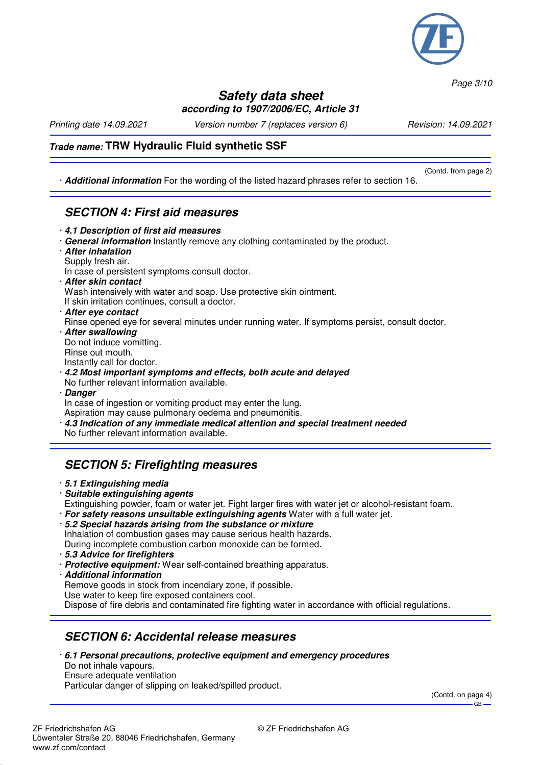

*Page 3/10*

#### **Safety data sheet according to 1907/2006/EC, Article 31**

*Printing date 14.09.2021 Version number 7 (replaces version 6) Revision: 14.09.2021*

(Contd. from page 2)

#### **Trade name: TRW Hydraulic Fluid synthetic SSF**

· **Additional information** For the wording of the listed hazard phrases refer to section 16.

# **SECTION 4: First aid measures**

- · **4.1 Description of first aid measures**
- · **General information** Instantly remove any clothing contaminated by the product.
- · **After inhalation**
- Supply fresh air.
- In case of persistent symptoms consult doctor.
- · **After skin contact**
- Wash intensively with water and soap. Use protective skin ointment.
- If skin irritation continues, consult a doctor.
- · **After eye contact**
- Rinse opened eye for several minutes under running water. If symptoms persist, consult doctor.
- · **After swallowing** Do not induce vomitting. Rinse out mouth. Instantly call for doctor.
- · **4.2 Most important symptoms and effects, both acute and delayed**
- No further relevant information available.
- · **Danger**

In case of ingestion or vomiting product may enter the lung. Aspiration may cause pulmonary oedema and pneumonitis.

· **4.3 Indication of any immediate medical attention and special treatment needed**

## No further relevant information available.

## **SECTION 5: Firefighting measures**

- · **5.1 Extinguishing media**
- · **Suitable extinguishing agents**
- Extinguishing powder, foam or water jet. Fight larger fires with water jet or alcohol-resistant foam.
- · **For safety reasons unsuitable extinguishing agents** Water with a full water jet.
- · **5.2 Special hazards arising from the substance or mixture** Inhalation of combustion gases may cause serious health hazards. During incomplete combustion carbon monoxide can be formed.
- · **5.3 Advice for firefighters**
- · **Protective equipment:** Wear self-contained breathing apparatus.
- · **Additional information**
- Remove goods in stock from incendiary zone, if possible. Use water to keep fire exposed containers cool.

Dispose of fire debris and contaminated fire fighting water in accordance with official regulations.

## **SECTION 6: Accidental release measures**

· **6.1 Personal precautions, protective equipment and emergency procedures**

Do not inhale vapours. Ensure adequate ventilation

Particular danger of slipping on leaked/spilled product.

(Contd. on page 4) GB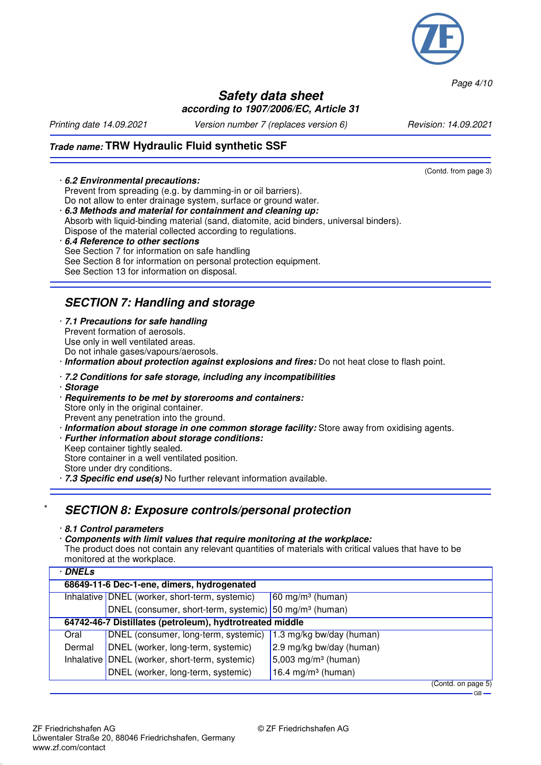

*Page 4/10*

#### **Safety data sheet according to 1907/2006/EC, Article 31**

(Contd. from page 3)

*Printing date 14.09.2021 Version number 7 (replaces version 6) Revision: 14.09.2021*

## **Trade name: TRW Hydraulic Fluid synthetic SSF**

#### · **6.2 Environmental precautions:**

Prevent from spreading (e.g. by damming-in or oil barriers). Do not allow to enter drainage system, surface or ground water.

- · **6.3 Methods and material for containment and cleaning up:** Absorb with liquid-binding material (sand, diatomite, acid binders, universal binders).
- Dispose of the material collected according to regulations.
- · **6.4 Reference to other sections** See Section 7 for information on safe handling See Section 8 for information on personal protection equipment. See Section 13 for information on disposal.

## **SECTION 7: Handling and storage**

- · **7.1 Precautions for safe handling** Prevent formation of aerosols. Use only in well ventilated areas. Do not inhale gases/vapours/aerosols.
- · **Information about protection against explosions and fires:** Do not heat close to flash point.

#### · **7.2 Conditions for safe storage, including any incompatibilities**

- · **Storage**
- · **Requirements to be met by storerooms and containers:** Store only in the original container. Prevent any penetration into the ground.
- · **Information about storage in one common storage facility:** Store away from oxidising agents.
- · **Further information about storage conditions:**
- Keep container tightly sealed.
- Store container in a well ventilated position.
- Store under dry conditions.
- · **7.3 Specific end use(s)** No further relevant information available.

#### \* **SECTION 8: Exposure controls/personal protection**

#### · **8.1 Control parameters**

· **Components with limit values that require monitoring at the workplace:** The product does not contain any relevant quantities of materials with critical values that have to be monitored at the workplace.

| <b>DNELs</b>                                             |                                                                    |                                 |
|----------------------------------------------------------|--------------------------------------------------------------------|---------------------------------|
| 68649-11-6 Dec-1-ene, dimers, hydrogenated               |                                                                    |                                 |
|                                                          | Inhalative DNEL (worker, short-term, systemic)                     | $60 \text{ mg/m}^3$ (human)     |
|                                                          | DNEL (consumer, short-term, systemic) 50 mg/m <sup>3</sup> (human) |                                 |
| 64742-46-7 Distillates (petroleum), hydtrotreated middle |                                                                    |                                 |
| Oral                                                     | DNEL (consumer, long-term, systemic)                               | 1.3 mg/kg bw/day (human)        |
| Dermal                                                   | DNEL (worker, long-term, systemic)                                 | 2.9 mg/kg bw/day (human)        |
|                                                          | Inhalative DNEL (worker, short-term, systemic)                     | 5,003 mg/m <sup>3</sup> (human) |
|                                                          | DNEL (worker, long-term, systemic)                                 | 16.4 mg/m <sup>3</sup> (human)  |
|                                                          |                                                                    | $(Contd)$ on page 5)            |

paye  $-$ GB $-$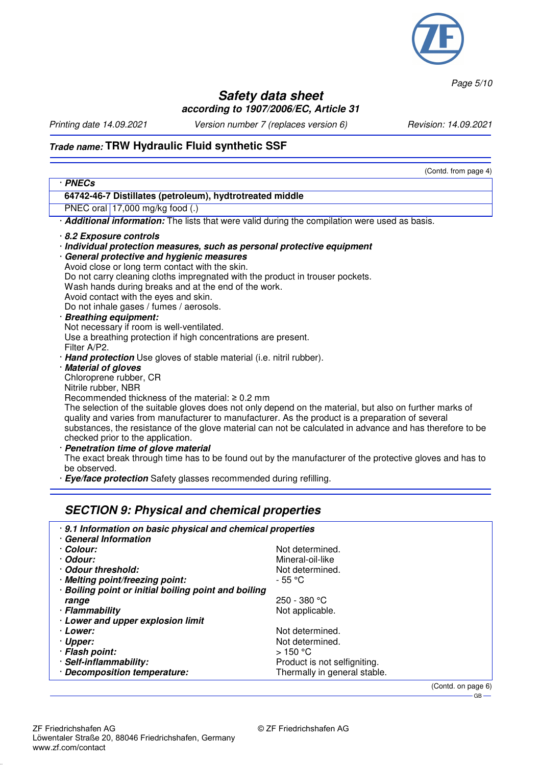

*Page 5/10*

#### **Safety data sheet according to 1907/2006/EC, Article 31**

*Printing date 14.09.2021 Version number 7 (replaces version 6) Revision: 14.09.2021*

(Contd. from page 4)

## **Trade name: TRW Hydraulic Fluid synthetic SSF**

| · PNECs                                                                       |                                                                                                           |  |  |
|-------------------------------------------------------------------------------|-----------------------------------------------------------------------------------------------------------|--|--|
| 64742-46-7 Distillates (petroleum), hydtrotreated middle                      |                                                                                                           |  |  |
| PNEC oral 17,000 mg/kg food (.)                                               |                                                                                                           |  |  |
|                                                                               | · <b>Additional information:</b> The lists that were valid during the compilation were used as basis.     |  |  |
| 8.2 Exposure controls                                                         |                                                                                                           |  |  |
| · Individual protection measures, such as personal protective equipment       |                                                                                                           |  |  |
| · General protective and hygienic measures                                    |                                                                                                           |  |  |
| Avoid close or long term contact with the skin.                               |                                                                                                           |  |  |
| Do not carry cleaning cloths impregnated with the product in trouser pockets. |                                                                                                           |  |  |
| Wash hands during breaks and at the end of the work.                          |                                                                                                           |  |  |
| Avoid contact with the eyes and skin.                                         |                                                                                                           |  |  |
| Do not inhale gases / fumes / aerosols.                                       |                                                                                                           |  |  |
| · Breathing equipment:                                                        |                                                                                                           |  |  |
| Not necessary if room is well-ventilated.                                     |                                                                                                           |  |  |
| Use a breathing protection if high concentrations are present.                |                                                                                                           |  |  |
| Filter A/P2.                                                                  |                                                                                                           |  |  |
| Hand protection Use gloves of stable material (i.e. nitril rubber).           |                                                                                                           |  |  |
| <b>Material of gloves</b>                                                     |                                                                                                           |  |  |
| Chloroprene rubber, CR                                                        |                                                                                                           |  |  |
| Nitrile rubber, NBR                                                           |                                                                                                           |  |  |
| Recommended thickness of the material: $\geq 0.2$ mm                          |                                                                                                           |  |  |
|                                                                               | The selection of the suitable gloves does not only depend on the material, but also on further marks of   |  |  |
|                                                                               | quality and varies from manufacturer to manufacturer. As the product is a preparation of several          |  |  |
|                                                                               | substances, the resistance of the glove material can not be calculated in advance and has therefore to be |  |  |
| checked prior to the application.                                             |                                                                                                           |  |  |
| · Penetration time of glove material                                          |                                                                                                           |  |  |
|                                                                               | The exact break through time has to be found out by the manufacturer of the protective gloves and has to  |  |  |
| be observed.                                                                  |                                                                                                           |  |  |
| · <b>Eye/face protection</b> Safety glasses recommended during refilling.     |                                                                                                           |  |  |
|                                                                               |                                                                                                           |  |  |
|                                                                               |                                                                                                           |  |  |
| <b>SECTION 9: Physical and chemical properties</b>                            |                                                                                                           |  |  |
| 9.1 Information on basic physical and chemical properties                     |                                                                                                           |  |  |
| · General Information                                                         |                                                                                                           |  |  |
| · Colour:                                                                     | Not determined.                                                                                           |  |  |
| · Odour:                                                                      | Mineral-oil-like                                                                                          |  |  |
| · Odour threshold:                                                            | Not determined.                                                                                           |  |  |
| · Meltina point/freezina point:                                               | $-55 °C$                                                                                                  |  |  |

- · **Melting point/freezing point:** 55 °C · **Boiling point or initial boiling point and boiling**
- · Flammability · **Lower and upper explosion limit**
- 
- **Lower:** The Community of the Community of Not determined.<br>• **Upper:** Not determined.
- 
- · Flash point:<br>· Self-inflammability:
- · Decomposition temperature:

(Contd. on page 6)  $-$  GB  $-$ 

250 - 380 °C<br>Not applicable.

Not determined.<br>> 150 °C

Product is not selfigniting.<br>Thermally in general stable.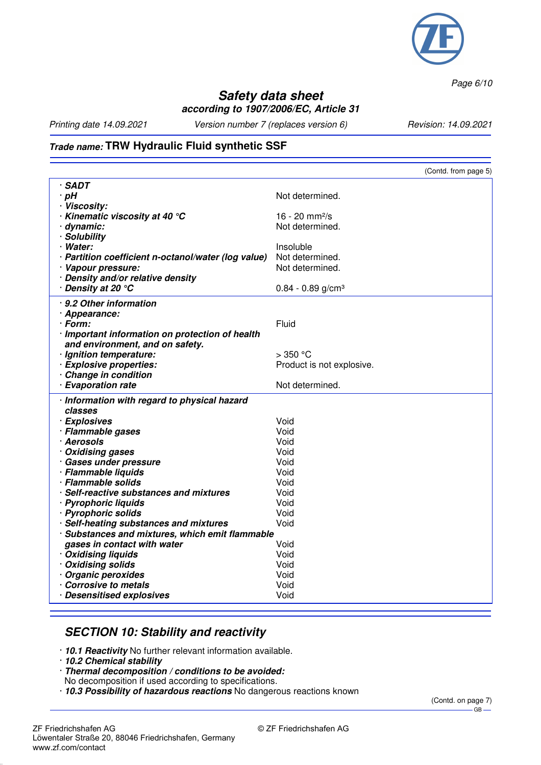

*Page 6/10*

#### **Safety data sheet according to 1907/2006/EC, Article 31**

*Printing date 14.09.2021 Version number 7 (replaces version 6) Revision: 14.09.2021*

#### **Trade name: TRW Hydraulic Fluid synthetic SSF**

|                                                     | (Contd. from page 5)            |
|-----------------------------------------------------|---------------------------------|
| · SADT                                              |                                 |
| · pH                                                | Not determined.                 |
| · Viscosity:                                        |                                 |
| $\cdot$ Kinematic viscosity at 40 $\degree$ C       | 16 - 20 $mm^2/s$                |
| · dynamic:                                          | Not determined.                 |
| · Solubility                                        |                                 |
| · Water:                                            | Insoluble                       |
| · Partition coefficient n-octanol/water (log value) | Not determined.                 |
| · Vapour pressure:                                  | Not determined.                 |
| · Density and/or relative density                   |                                 |
| ∙ Density at 20 °C                                  | $0.84 - 0.89$ g/cm <sup>3</sup> |
|                                                     |                                 |
| · 9.2 Other information                             |                                 |
| · Appearance:                                       |                                 |
| · Form:                                             | Fluid                           |
| · Important information on protection of health     |                                 |
| and environment, and on safety.                     |                                 |
| · Ignition temperature:                             | $>$ 350 °C                      |
| · Explosive properties:                             | Product is not explosive.       |
| Change in condition                                 |                                 |
| · Evaporation rate                                  | Not determined.                 |
| · Information with regard to physical hazard        |                                 |
| classes                                             |                                 |
| · Explosives                                        | Void                            |
| · Flammable gases                                   | Void                            |
| · Aerosols                                          | Void                            |
| · Oxidising gases                                   | Void                            |
| · Gases under pressure                              | Void                            |
| · Flammable liquids                                 | Void                            |
| · Flammable solids                                  | Void                            |
| · Self-reactive substances and mixtures             | Void                            |
| · Pyrophoric liquids                                | Void                            |
| · Pyrophoric solids                                 | Void                            |
| · Self-heating substances and mixtures              | Void                            |
| · Substances and mixtures, which emit flammable     |                                 |
| gases in contact with water                         | Void                            |
| · Oxidising liquids                                 | Void                            |
| · Oxidising solids                                  | Void                            |
| · Organic peroxides                                 | Void                            |
| Corrosive to metals                                 | Void                            |
| · Desensitised explosives                           | Void                            |
|                                                     |                                 |

#### **SECTION 10: Stability and reactivity**

- · **10.1 Reactivity** No further relevant information available.
- · **10.2 Chemical stability**
- · **Thermal decomposition / conditions to be avoided:**
- No decomposition if used according to specifications.
- · **10.3 Possibility of hazardous reactions** No dangerous reactions known

(Contd. on page 7)  $-$  GB  $-$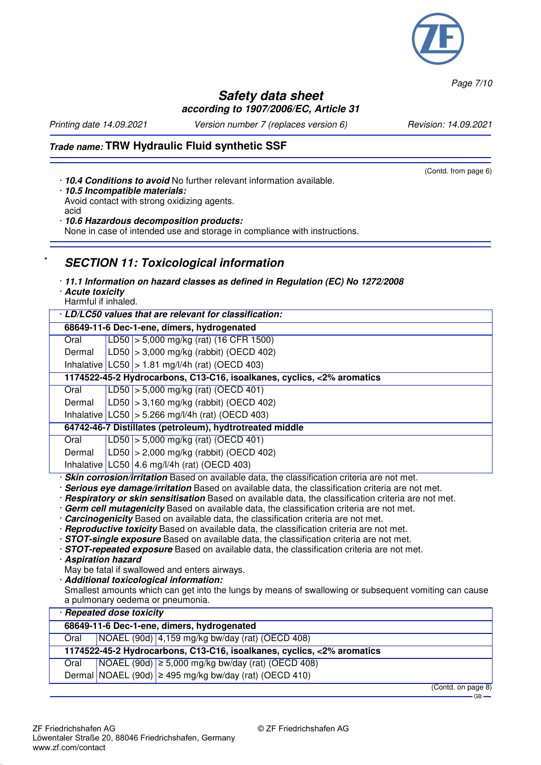(Contd. from page 6)

*Page 7/10*

## **Safety data sheet according to 1907/2006/EC, Article 31**

*Printing date 14.09.2021 Version number 7 (replaces version 6) Revision: 14.09.2021*

## **Trade name: TRW Hydraulic Fluid synthetic SSF**

- · **10.4 Conditions to avoid** No further relevant information available.
- · **10.5 Incompatible materials:** Avoid contact with strong oxidizing agents.
- acid · **10.6 Hazardous decomposition products:**

None in case of intended use and storage in compliance with instructions.

## **SECTION 11: Toxicological information**

- · **11.1 Information on hazard classes as defined in Regulation (EC) No 1272/2008**
- · **Acute toxicity** Harmful if inhaled.

| Harmul II innaled.                                                                            |  |  |
|-----------------------------------------------------------------------------------------------|--|--|
| · LD/LC50 values that are relevant for classification:                                        |  |  |
| 68649-11-6 Dec-1-ene, dimers, hydrogenated                                                    |  |  |
| LD50 $\vert$ > 5,000 mg/kg (rat) (16 CFR 1500)<br>Oral                                        |  |  |
| $ LD50  > 3,000$ mg/kg (rabbit) (OECD 402)<br>Dermal                                          |  |  |
| Inhalative $ LC50  > 1.81$ mg/l/4h (rat) (OECD 403)                                           |  |  |
| 1174522-45-2 Hydrocarbons, C13-C16, isoalkanes, cyclics, <2% aromatics                        |  |  |
| LD50 $\vert$ > 5,000 mg/kg (rat) (OECD 401)<br>Oral                                           |  |  |
| $ LD50 $ > 3,160 mg/kg (rabbit) (OECD 402)<br>Dermal                                          |  |  |
| Inhalative $ LG50 $ > 5.266 mg/l/4h (rat) (OECD 403)                                          |  |  |
| 64742-46-7 Distillates (petroleum), hydtrotreated middle                                      |  |  |
| LD50 $\vert$ > 5,000 mg/kg (rat) (OECD 401)<br>Oral                                           |  |  |
| $ LD50 $ > 2,000 mg/kg (rabbit) (OECD 402)<br>Dermal                                          |  |  |
| Inhalative $ L C50 $ 4.6 mg/l/4h (rat) (OECD 403)                                             |  |  |
| · Skin corrosion/irritation Based on available data, the classification criteria are not met. |  |  |

· **Serious eye damage/irritation** Based on available data, the classification criteria are not met.

- · **Respiratory or skin sensitisation** Based on available data, the classification criteria are not met.
- · **Germ cell mutagenicity** Based on available data, the classification criteria are not met.
- · **Carcinogenicity** Based on available data, the classification criteria are not met.
- · **Reproductive toxicity** Based on available data, the classification criteria are not met.
- · **STOT-single exposure** Based on available data, the classification criteria are not met.
- · **STOT-repeated exposure** Based on available data, the classification criteria are not met.
- · **Aspiration hazard**
- May be fatal if swallowed and enters airways.
- · **Additional toxicological information:**
- Smallest amounts which can get into the lungs by means of swallowing or subsequent vomiting can cause a pulmonary oedema or pneumonia.

| · Repeated dose toxicity                                               |  |                                                             |                |
|------------------------------------------------------------------------|--|-------------------------------------------------------------|----------------|
|                                                                        |  | 68649-11-6 Dec-1-ene, dimers, hydrogenated                  |                |
| Oral                                                                   |  | $NOAEL (90d)$ 4,159 mg/kg bw/day (rat) (OECD 408)           |                |
| 1174522-45-2 Hydrocarbons, C13-C16, isoalkanes, cyclics, <2% aromatics |  |                                                             |                |
| Oral                                                                   |  | NOAEL (90d) $\geq 5,000$ mg/kg bw/day (rat) (OECD 408)      |                |
|                                                                        |  | Dermal NOAEL (90d) $\geq$ 495 mg/kg bw/day (rat) (OECD 410) |                |
|                                                                        |  |                                                             | (Contdonnone0) |

(Contd. on page 8)  $-GB -$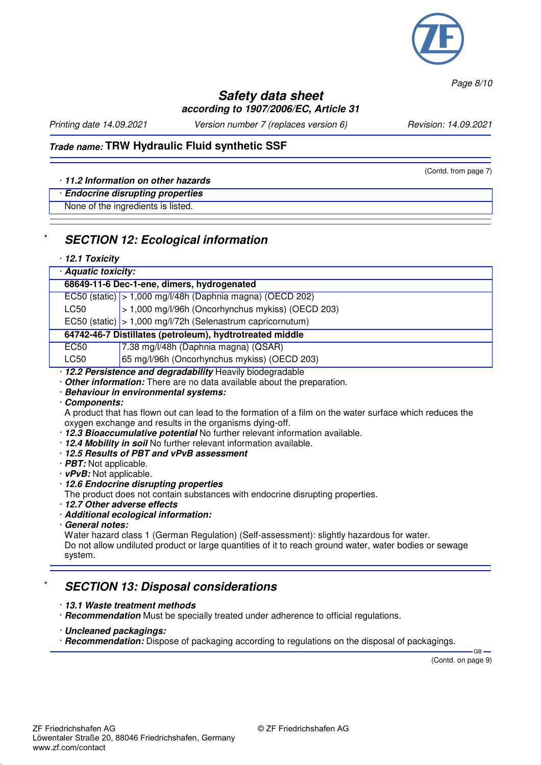

*Page 8/10*

#### **Safety data sheet according to 1907/2006/EC, Article 31**

*Printing date 14.09.2021 Version number 7 (replaces version 6) Revision: 14.09.2021*

(Contd. from page 7)

## **Trade name: TRW Hydraulic Fluid synthetic SSF**

#### · **11.2 Information on other hazards**

#### · **Endocrine disrupting properties**

None of the ingredients is listed.

#### **SECTION 12: Ecological information**

#### · **12.1 Toxicity**

| · Aquatic toxicity:                                                  |                                                             |  |
|----------------------------------------------------------------------|-------------------------------------------------------------|--|
| 68649-11-6 Dec-1-ene, dimers, hydrogenated                           |                                                             |  |
|                                                                      | EC50 (static) $> 1,000$ mg/l/48h (Daphnia magna) (OECD 202) |  |
| LC50                                                                 | > 1,000 mg/l/96h (Oncorhynchus mykiss) (OECD 203)           |  |
| EC50 (static) $ >1,000 \text{ mg}/1/72h$ (Selenastrum capricornutum) |                                                             |  |
| 64742-46-7 Distillates (petroleum), hydtrotreated middle             |                                                             |  |
| EC50                                                                 | 7.38 mg/l/48h (Daphnia magna) (QSAR)                        |  |
| LC50                                                                 | 65 mg/l/96h (Oncorhynchus mykiss) (OECD 203)                |  |
| · 12.2 Persistence and degradability Heavily biodegradable           |                                                             |  |

· **Other information:** There are no data available about the preparation.

· **Behaviour in environmental systems:**

#### · **Components:**

A product that has flown out can lead to the formation of a film on the water surface which reduces the oxygen exchange and results in the organisms dying-off.

- · **12.3 Bioaccumulative potential** No further relevant information available.
- · **12.4 Mobility in soil** No further relevant information available.
- · **12.5 Results of PBT and vPvB assessment**
- · **PBT:** Not applicable.
- · **vPvB:** Not applicable.
- · **12.6 Endocrine disrupting properties**

The product does not contain substances with endocrine disrupting properties.

- · **12.7 Other adverse effects**
- · **Additional ecological information:**
- · **General notes:**

Water hazard class 1 (German Regulation) (Self-assessment): slightly hazardous for water. Do not allow undiluted product or large quantities of it to reach ground water, water bodies or sewage system.

#### \* **SECTION 13: Disposal considerations**

- · **13.1 Waste treatment methods**
- · **Recommendation** Must be specially treated under adherence to official regulations.
- · **Uncleaned packagings:**
- · **Recommendation:** Dispose of packaging according to regulations on the disposal of packagings.

(Contd. on page 9)

GB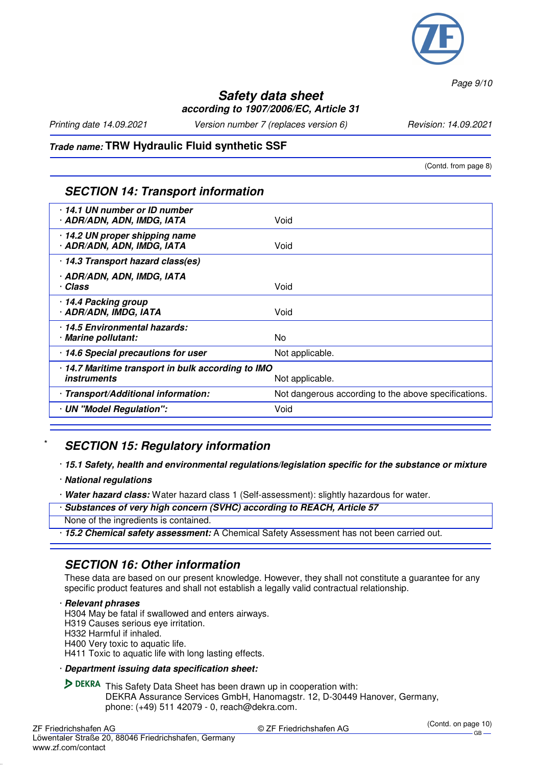

*Page 9/10*

#### **Safety data sheet according to 1907/2006/EC, Article 31**

*Printing date 14.09.2021 Version number 7 (replaces version 6) Revision: 14.09.2021*

#### **Trade name: TRW Hydraulic Fluid synthetic SSF**

(Contd. from page 8)

#### **SECTION 14: Transport information**

| 14.1 UN number or ID number<br>· ADR/ADN, ADN, IMDG, IATA                | Void                                                 |
|--------------------------------------------------------------------------|------------------------------------------------------|
| 14.2 UN proper shipping name<br>· ADR/ADN, ADN, IMDG, IATA               | Void                                                 |
| · 14.3 Transport hazard class(es)                                        |                                                      |
| · ADR/ADN, ADN, IMDG, IATA<br>· Class                                    | Void                                                 |
| 14.4 Packing group<br>· ADR/ADN, IMDG, IATA                              | Void                                                 |
| 14.5 Environmental hazards:<br>· Marine pollutant:                       | No.                                                  |
| 14.6 Special precautions for user                                        | Not applicable.                                      |
| · 14.7 Maritime transport in bulk according to IMO<br><i>instruments</i> | Not applicable.                                      |
| · Transport/Additional information:                                      | Not dangerous according to the above specifications. |
| · UN "Model Regulation":                                                 | Void                                                 |
|                                                                          |                                                      |

## **SECTION 15: Regulatory information**

#### · **15.1 Safety, health and environmental regulations/legislation specific for the substance or mixture**

- · **National regulations**
- · **Water hazard class:** Water hazard class 1 (Self-assessment): slightly hazardous for water.
- · **Substances of very high concern (SVHC) according to REACH, Article 57**

None of the ingredients is contained.

· **15.2 Chemical safety assessment:** A Chemical Safety Assessment has not been carried out.

#### **SECTION 16: Other information**

These data are based on our present knowledge. However, they shall not constitute a guarantee for any specific product features and shall not establish a legally valid contractual relationship.

· **Relevant phrases** H304 May be fatal if swallowed and enters airways. H319 Causes serious eye irritation. H332 Harmful if inhaled.

H400 Very toxic to aquatic life.

H411 Toxic to aquatic life with long lasting effects.

#### · **Department issuing data specification sheet:**

DEKRA This Safety Data Sheet has been drawn up in cooperation with: DEKRA Assurance Services GmbH, Hanomagstr. 12, D-30449 Hanover, Germany, phone: (+49) 511 42079 - 0, reach@dekra.com.